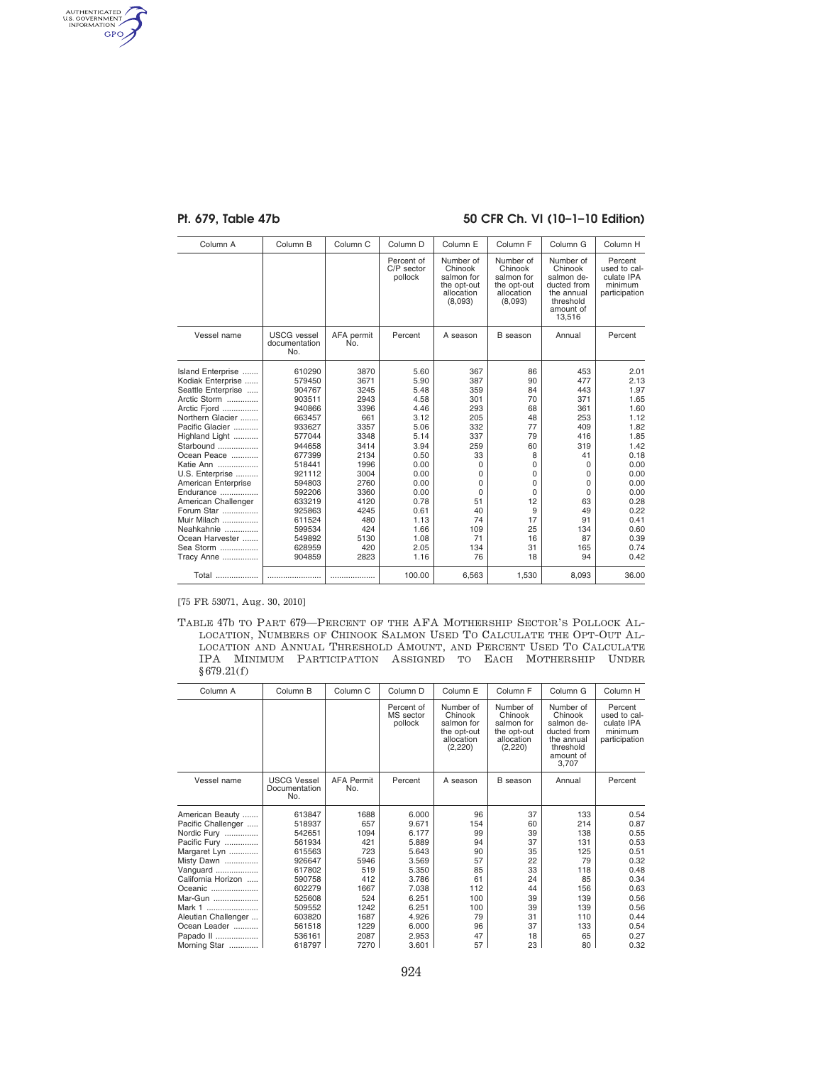AUTHENTICATED<br>U.S. GOVERNMENT<br>INFORMATION<br>GPO

## Pt. 679, Table 47b 50 CFR Ch. VI (10-1-10 Edition)

| Column A            | Column B                                   | Column <sub>C</sub> | Column <sub>D</sub>                 | Column E                                                                   | Column F                                                                   | Column G                                                                                            | Column H                                                          |
|---------------------|--------------------------------------------|---------------------|-------------------------------------|----------------------------------------------------------------------------|----------------------------------------------------------------------------|-----------------------------------------------------------------------------------------------------|-------------------------------------------------------------------|
|                     |                                            |                     | Percent of<br>C/P sector<br>pollock | Number of<br>Chinook<br>salmon for<br>the opt-out<br>allocation<br>(8,093) | Number of<br>Chinook<br>salmon for<br>the opt-out<br>allocation<br>(8,093) | Number of<br>Chinook<br>salmon de-<br>ducted from<br>the annual<br>threshold<br>amount of<br>13,516 | Percent<br>used to cal-<br>culate IPA<br>minimum<br>participation |
| Vessel name         | <b>USCG</b> vessel<br>documentation<br>No. | AFA permit<br>No.   | Percent                             | A season                                                                   | B season                                                                   | Annual                                                                                              | Percent                                                           |
| Island Enterprise   | 610290                                     | 3870                | 5.60                                | 367                                                                        | 86                                                                         | 453                                                                                                 | 2.01                                                              |
| Kodiak Enterprise   | 579450                                     | 3671                | 5.90                                | 387                                                                        | 90                                                                         | 477                                                                                                 | 2.13                                                              |
| Seattle Enterprise  | 904767                                     | 3245                | 5.48                                | 359                                                                        | 84                                                                         | 443                                                                                                 | 1.97                                                              |
| Arctic Storm        | 903511                                     | 2943                | 4.58                                | 301                                                                        | 70                                                                         | 371                                                                                                 | 1.65                                                              |
| Arctic Fjord        | 940866                                     | 3396                | 4.46                                | 293                                                                        | 68                                                                         | 361                                                                                                 | 1.60                                                              |
| Northern Glacier    | 663457                                     | 661                 | 3.12                                | 205                                                                        | 48                                                                         | 253                                                                                                 | 1.12                                                              |
| Pacific Glacier     | 933627                                     | 3357                | 5.06                                | 332                                                                        | 77                                                                         | 409                                                                                                 | 1.82                                                              |
| Highland Light      | 577044                                     | 3348                | 5.14                                | 337                                                                        | 79                                                                         | 416                                                                                                 | 1.85                                                              |
| Starbound           | 944658                                     | 3414                | 3.94                                | 259                                                                        | 60                                                                         | 319                                                                                                 | 1.42                                                              |
| Ocean Peace         | 677399                                     | 2134                | 0.50                                | 33                                                                         | 8                                                                          | 41                                                                                                  | 0.18                                                              |
| Katie Ann           | 518441                                     | 1996                | 0.00                                | 0                                                                          | $\Omega$                                                                   | $\Omega$                                                                                            | 0.00                                                              |
| U.S. Enterprise     | 921112                                     | 3004                | 0.00                                | 0                                                                          | 0                                                                          | 0                                                                                                   | 0.00                                                              |
| American Enterprise | 594803                                     | 2760                | 0.00                                | $\Omega$                                                                   | $\Omega$                                                                   | $\Omega$                                                                                            | 0.00                                                              |
| Endurance           | 592206                                     | 3360                | 0.00                                | 0                                                                          | 0                                                                          | 0                                                                                                   | 0.00                                                              |
| American Challenger | 633219                                     | 4120                | 0.78                                | 51                                                                         | 12                                                                         | 63                                                                                                  | 0.28                                                              |
| Forum Star          | 925863                                     | 4245                | 0.61                                | 40                                                                         | 9                                                                          | 49                                                                                                  | 0.22                                                              |
| Muir Milach         | 611524                                     | 480                 | 1.13                                | 74                                                                         | 17                                                                         | 91                                                                                                  | 0.41                                                              |
| Neahkahnie          | 599534                                     | 424                 | 1.66                                | 109                                                                        | 25                                                                         | 134                                                                                                 | 0.60                                                              |
| Ocean Harvester     | 549892                                     | 5130                | 1.08                                | 71                                                                         | 16                                                                         | 87                                                                                                  | 0.39                                                              |
| Sea Storm           | 628959                                     | 420                 | 2.05                                | 134                                                                        | 31                                                                         | 165                                                                                                 | 0.74                                                              |
| Tracy Anne          | 904859                                     | 2823                | 1.16                                | 76                                                                         | 18                                                                         | 94                                                                                                  | 0.42                                                              |
| Total               |                                            |                     | 100.00                              | 6,563                                                                      | 1,530                                                                      | 8,093                                                                                               | 36.00                                                             |

[75 FR 53071, Aug. 30, 2010]

TABLE 47b TO PART 679—PERCENT OF THE AFA MOTHERSHIP SECTOR'S POLLOCK AL-LOCATION, NUMBERS OF CHINOOK SALMON USED TO CALCULATE THE OPT-OUT AL-LOCATION AND ANNUAL THRESHOLD AMOUNT, AND PERCENT USED TO CALCULATE IPA MINIMUM PARTICIPATION ASSIGNED TO EACH MOTHERSHIP UNDER §679.21(f)

| Column A            | Column B                                   | Column <sub>C</sub>      | Column <sub>D</sub>                | Column E                                                                   | Column <sub>F</sub>                                                        | Column G                                                                                           | Column H                                                          |
|---------------------|--------------------------------------------|--------------------------|------------------------------------|----------------------------------------------------------------------------|----------------------------------------------------------------------------|----------------------------------------------------------------------------------------------------|-------------------------------------------------------------------|
|                     |                                            |                          | Percent of<br>MS sector<br>pollock | Number of<br>Chinook<br>salmon for<br>the opt-out<br>allocation<br>(2,220) | Number of<br>Chinook<br>salmon for<br>the opt-out<br>allocation<br>(2,220) | Number of<br>Chinook<br>salmon de-<br>ducted from<br>the annual<br>threshold<br>amount of<br>3,707 | Percent<br>used to cal-<br>culate IPA<br>minimum<br>participation |
| Vessel name         | <b>USCG Vessel</b><br>Documentation<br>No. | <b>AFA Permit</b><br>No. | Percent                            | A season                                                                   | <b>B</b> season                                                            | Annual                                                                                             | Percent                                                           |
| American Beauty     | 613847                                     | 1688                     | 6.000                              | 96                                                                         | 37                                                                         | 133                                                                                                | 0.54                                                              |
| Pacific Challenger  | 518937                                     | 657                      | 9.671                              | 154                                                                        | 60                                                                         | 214                                                                                                | 0.87                                                              |
| Nordic Fury         | 542651                                     | 1094                     | 6.177                              | 99                                                                         | 39                                                                         | 138                                                                                                | 0.55                                                              |
| Pacific Fury        | 561934                                     | 421                      | 5.889                              | 94                                                                         | 37                                                                         | 131                                                                                                | 0.53                                                              |
| Margaret Lyn        | 615563                                     | 723                      | 5.643                              | 90                                                                         | 35                                                                         | 125                                                                                                | 0.51                                                              |
| Misty Dawn          | 926647                                     | 5946                     | 3.569                              | 57                                                                         | 22                                                                         | 79                                                                                                 | 0.32                                                              |
| Vanguard            | 617802                                     | 519                      | 5.350                              | 85                                                                         | 33                                                                         | 118                                                                                                | 0.48                                                              |
| California Horizon  | 590758                                     | 412                      | 3.786                              | 61                                                                         | 24                                                                         | 85                                                                                                 | 0.34                                                              |
| Oceanic             | 602279                                     | 1667                     | 7.038                              | 112                                                                        | 44                                                                         | 156                                                                                                | 0.63                                                              |
| Mar-Gun             | 525608                                     | 524                      | 6.251                              | 100                                                                        | 39                                                                         | 139                                                                                                | 0.56                                                              |
| Mark 1              | 509552                                     | 1242                     | 6.251                              | 100                                                                        | 39                                                                         | 139                                                                                                | 0.56                                                              |
| Aleutian Challenger | 603820                                     | 1687                     | 4.926                              | 79                                                                         | 31                                                                         | 110                                                                                                | 0.44                                                              |
| Ocean Leader        | 561518                                     | 1229                     | 6.000                              | 96                                                                         | 37                                                                         | 133                                                                                                | 0.54                                                              |
| Papado II           | 536161                                     | 2087                     | 2.953                              | 47                                                                         | 18                                                                         | 65                                                                                                 | 0.27                                                              |
| Morning Star        | 618797                                     | 7270                     | 3.601                              | 57                                                                         | 23                                                                         | 80                                                                                                 | 0.32                                                              |